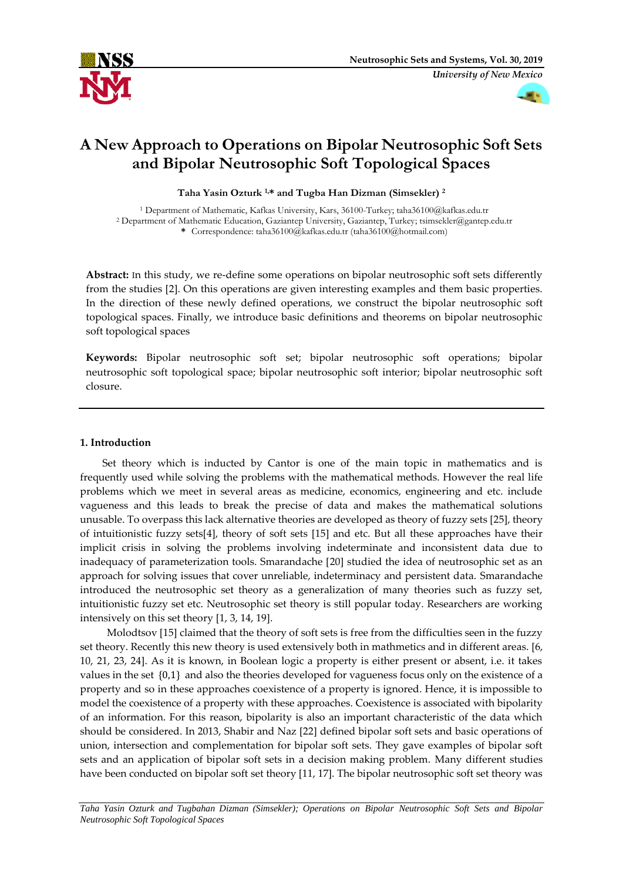



# **A New Approach to Operations on Bipolar Neutrosophic Soft Sets and Bipolar Neutrosophic Soft Topological Spaces**

**Taha Yasin Ozturk 1,\* and Tugba Han Dizman (Simsekler) <sup>2</sup>**

<sup>1</sup> Department of Mathematic, Kafkas University, Kars, 36100-Turkey; taha36100@kafkas.edu.tr <sup>2</sup> Department of Mathematic Education, Gaziantep University, Gaziantep, Turkey; tsimsekler@gantep.edu.tr **\*** Correspondence: taha36100@kafkas.edu.tr (taha36100@hotmail.com)

**Abstract:** In this study, we re-define some operations on bipolar neutrosophic soft sets differently from the studies [2]. On this operations are given interesting examples and them basic properties. In the direction of these newly defined operations, we construct the bipolar neutrosophic soft topological spaces. Finally, we introduce basic definitions and theorems on bipolar neutrosophic soft topological spaces

**Keywords:** Bipolar neutrosophic soft set; bipolar neutrosophic soft operations; bipolar neutrosophic soft topological space; bipolar neutrosophic soft interior; bipolar neutrosophic soft closure.

# **1. Introduction**

Set theory which is inducted by Cantor is one of the main topic in mathematics and is frequently used while solving the problems with the mathematical methods. However the real life problems which we meet in several areas as medicine, economics, engineering and etc. include vagueness and this leads to break the precise of data and makes the mathematical solutions unusable. To overpass this lack alternative theories are developed as theory of fuzzy sets [25], theory of intuitionistic fuzzy sets[4], theory of soft sets [15] and etc. But all these approaches have their implicit crisis in solving the problems involving indeterminate and inconsistent data due to inadequacy of parameterization tools. Smarandache [20] studied the idea of neutrosophic set as an approach for solving issues that cover unreliable, indeterminacy and persistent data. Smarandache introduced the neutrosophic set theory as a generalization of many theories such as fuzzy set, intuitionistic fuzzy set etc. Neutrosophic set theory is still popular today. Researchers are working intensively on this set theory [1, 3, 14, 19].

Molodtsov [15] claimed that the theory of soft sets is free from the difficulties seen in the fuzzy set theory. Recently this new theory is used extensively both in mathmetics and in different areas. [6, 10, 21, 23, 24]. As it is known, in Boolean logic a property is either present or absent, i.e. it takes values in the set {0,1} and also the theories developed for vagueness focus only on the existence of a property and so in these approaches coexistence of a property is ignored. Hence, it is impossible to model the coexistence of a property with these approaches. Coexistence is associated with bipolarity of an information. For this reason, bipolarity is also an important characteristic of the data which should be considered. In 2013, Shabir and Naz [22] defined bipolar soft sets and basic operations of union, intersection and complementation for bipolar soft sets. They gave examples of bipolar soft sets and an application of bipolar soft sets in a decision making problem. Many different studies have been conducted on bipolar soft set theory [11, 17]. The bipolar neutrosophic soft set theory was

*Taha Yasin Ozturk and Tugbahan Dizman (Simsekler); Operations on Bipolar Neutrosophic Soft Sets and Bipolar Neutrosophic Soft Topological Spaces*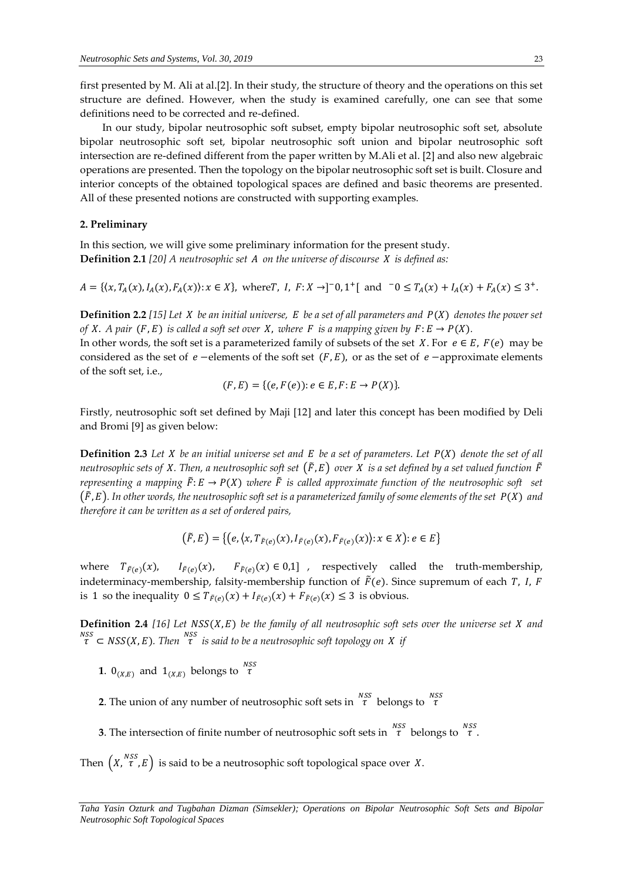first presented by M. Ali at al.[2]. In their study, the structure of theory and the operations on this set structure are defined. However, when the study is examined carefully, one can see that some definitions need to be corrected and re-defined.

In our study, bipolar neutrosophic soft subset, empty bipolar neutrosophic soft set, absolute bipolar neutrosophic soft set, bipolar neutrosophic soft union and bipolar neutrosophic soft intersection are re-defined different from the paper written by M.Ali et al. [2] and also new algebraic operations are presented. Then the topology on the bipolar neutrosophic soft set is built. Closure and interior concepts of the obtained topological spaces are defined and basic theorems are presented. All of these presented notions are constructed with supporting examples.

# **2. Preliminary**

In this section, we will give some preliminary information for the present study. **Definition 2.1** [20] A neutrosophic set A on the universe of discourse X is defined as:

 $A = \{(x, T_A(x), I_A(x), F_A(x)) : x \in X\}$ , where  $T, I, F: X \to ]-0, 1^+[$  and  $-0 \le T_A(x) + I_A(x) + F_A(x) \le 3^+$ .

**Definition 2.2** [15] Let *X* be an initial universe, *E* be a set of all parameters and  $P(X)$  denotes the power set *of X. A pair*  $(F, E)$  *is called a soft set over X, where F is a mapping given by*  $F: E \rightarrow P(X)$ *.* 

In other words, the soft set is a parameterized family of subsets of the set X. For  $e \in E$ ,  $F(e)$  may be considered as the set of  $e$  –elements of the soft set  $(F, E)$ , or as the set of  $e$  –approximate elements of the soft set, i.e.,

$$
(F, E) = \{ (e, F(e)) : e \in E, F : E \to P(X) \}.
$$

Firstly, neutrosophic soft set defined by Maji [12] and later this concept has been modified by Deli and Bromi [9] as given below:

**Definition 2.3** Let *X* be an initial universe set and  $E$  be a set of parameters. Let  $P(X)$  denote the set of all *neutrosophic sets of X. Then, a neutrosophic soft set*  $(\tilde{F}, E)$  *over X is a set defined by a set valued function*  $\tilde{F}$ *representing a mapping*  $\tilde{F}: E \to P(X)$  *where*  $\tilde{F}$  *is called approximate function of the neutrosophic soft set*  $(\tilde{F}, E)$ . In other words, the neutrosophic soft set is a parameterized family of some elements of the set  $P(X)$  and *therefore it can be written as a set of ordered pairs,*

$$
(\tilde{F}, E) = \{ (e, \langle x, T_{\tilde{F}(e)}(x), I_{\tilde{F}(e)}(x), F_{\tilde{F}(e)}(x) \rangle : x \in X) : e \in E \}
$$

where  $T_{\tilde{F}(e)}(x)$ ,  $I_{\tilde{F}(e)}(x)$ ,  $F_{\tilde{F}(e)}(x) \in 0,1]$ , respectively called the truth-membership, indeterminacy-membership, falsity-membership function of  $\tilde{F}(e)$ . Since supremum of each T, I, F is 1 so the inequality  $0 \le T_{\tilde{F}(e)}(x) + I_{\tilde{F}(e)}(x) + F_{\tilde{F}(e)}(x) \le 3$  is obvious.

**Definition 2.4** [16] Let  $NSS(X, E)$  be the family of all neutrosophic soft sets over the universe set  $X$  and  $\sigma$ <sup>*nss*</sup> ⊂ NSS(X, E). Then  $\sigma$ <sup>NSS</sup> is said to be a neutrosophic soft topology on *X* if

- **1**.  $0_{(X,E)}$  and  $1_{(X,E)}$  belongs to  $\tau^{NSS}$
- **2.** The union of any number of neutrosophic soft sets in  $\int_{0}^{NSS}$  belongs to  $\int_{0}^{NSS}$
- **3**. The intersection of finite number of neutrosophic soft sets in  $\frac{NSS}{\tau}$  belongs to  $\frac{NSS}{\tau}$ .

Then  $(X, \tau^{NSS}, E)$  is said to be a neutrosophic soft topological space over X.

*Taha Yasin Ozturk and Tugbahan Dizman (Simsekler); Operations on Bipolar Neutrosophic Soft Sets and Bipolar Neutrosophic Soft Topological Spaces*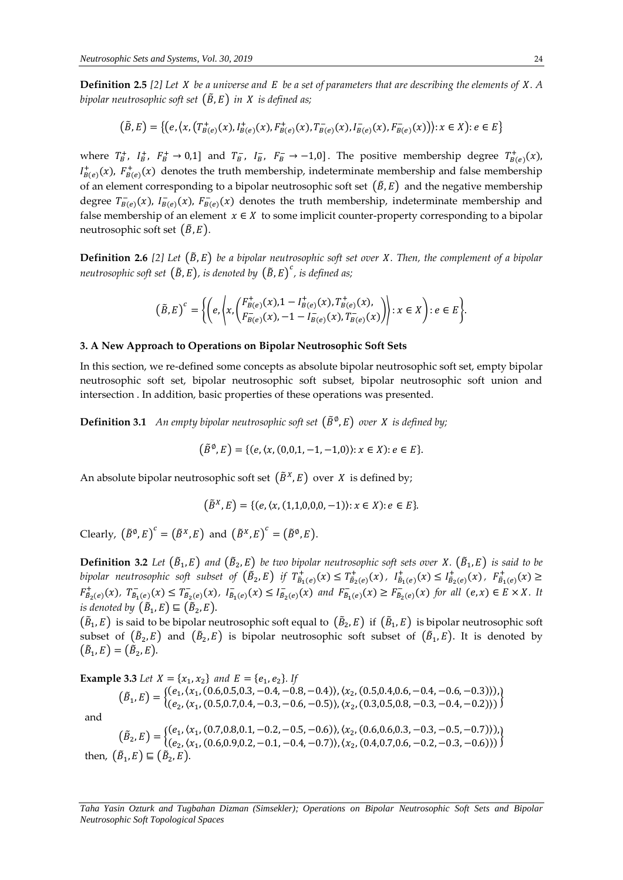**Definition 2.5** *[2] Let be a universe and be a set of parameters that are describing the elements of . A bipolar neutrosophic soft set*  $(\tilde{B}, E)$  *in X is defined as;* 

$$
(\tilde{B}, E) = \{ (e, \langle x, (T_{B(e)}^+(x), I_{B(e)}^+(x), F_{B(e)}^+(x), T_{B(e)}^-(x), I_{B(e)}^-(x), F_{B(e)}^-(x) \rangle) : x \in X \} : e \in E \}
$$

where  $T_B^+$ ,  $I_B^+$ ,  $F_B^+ \to 0,1$ ] and  $T_B^-$ ,  $I_B^-$ ,  $F_B^- \to -1,0$ ]. The positive membership degree  $T_{B(e)}^+(x)$ ,  $l_{B(e)}^+(x)$ ,  $F_{B(e)}^+(x)$  denotes the truth membership, indeterminate membership and false membership of an element corresponding to a bipolar neutrosophic soft set  $(\tilde{B}, E)$  and the negative membership degree  $T_{B(e)}^-(x)$ ,  $I_{B(e)}^-(x)$ ,  $F_{B(e)}^-(x)$  denotes the truth membership, indeterminate membership and false membership of an element  $x \in X$  to some implicit counter-property corresponding to a bipolar neutrosophic soft set  $(\tilde{B}, E)$ .

**Definition 2.6** [2] Let  $(\tilde{B}, E)$  be a bipolar neutrosophic soft set over *X*. Then, the complement of a bipolar neutrosophic soft set  $(\tilde{B}, E)$ , is denoted by  $\big(\tilde{B}, E \big)^c$ , is defined as;

$$
(\tilde{B},E)^c = \left\{ \left(e, \left\langle x, \left(F_{B(e)}^+(x), 1 - I_{B(e)}^+(x), T_{B(e)}^+(x), \right) \atop F_{B(e)}^-(x), -1 - I_{B(e)}^-(x), T_{B(e)}^-(x) \right\rangle \right) : x \in X \right\} : e \in E \right\}.
$$

#### **3. A New Approach to Operations on Bipolar Neutrosophic Soft Sets**

In this section, we re-defined some concepts as absolute bipolar neutrosophic soft set, empty bipolar neutrosophic soft set, bipolar neutrosophic soft subset, bipolar neutrosophic soft union and intersection . In addition, basic properties of these operations was presented.

**Definition 3.1** An empty bipolar neutrosophic soft set  $(\tilde{B}^{\emptyset}, E)$  over X is defined by;

$$
(\tilde{B}^{\emptyset}, E) = \{ (e, \langle x, (0,0,1,-1,-1,0) \rangle : x \in X) : e \in E \}.
$$

An absolute bipolar neutrosophic soft set  $(\tilde{B}^X, E)$  over X is defined by;

$$
(\tilde{B}^X, E) = \{ (e, \langle x, (1,1,0,0,0,-1) \rangle : x \in X) : e \in E \}.
$$

Clearly,  $(\tilde{B}^{\emptyset}, E)^c = (\tilde{B}^X, E)$  and  $(\tilde{B}^X, E)^c = (\tilde{B}^{\emptyset}, E)$ .

**Definition 3.2** Let  $(\tilde{B}_1, E)$  and  $(\tilde{B}_2, E)$  be two bipolar neutrosophic soft sets over X.  $(\tilde{B}_1, E)$  is said to be *bipolar neutrosophic soft subset of*  $(\tilde{B}_2, E)$  *if*  $T^+_{B_1(e)}(x) \le T^+_{B_2(e)}(x)$ ,  $I^+_{B_1(e)}(x) \le I^+_{B_2(e)}(x)$ ,  $F^+_{B_1(e)}(x) \ge$  $F^+_{\tilde{B}_2(e)}(x)$ ,  $T^-_{\tilde{B}_1(e)}(x) \le T^-_{\tilde{B}_2(e)}(x)$ ,  $I^-_{\tilde{B}_1(e)}(x) \le I^-_{\tilde{B}_2(e)}(x)$  and  $F^-_{\tilde{B}_1(e)}(x) \ge F^-_{\tilde{B}_2(e)}(x)$  for all  $(e, x) \in E \times X$ . It is denoted by  $(\tilde{B}_1, E) \sqsubseteq (\tilde{B}_2, E)$ .

 $(\tilde{B}_1,E)$  is said to be bipolar neutrosophic soft equal to  $(\tilde{B}_2,E)$  if  $(\tilde{B}_1,E)$  is bipolar neutrosophic soft subset of  $(\tilde{B}_2, E)$  and  $(\tilde{B}_2, E)$  is bipolar neutrosophic soft subset of  $(\tilde{B}_1, E)$ . It is denoted by  $(\tilde{B}_1, E) = (\tilde{B}_2, E).$ 

**Example 3.3** *Let*  $X = \{x_1, x_2\}$  *and*  $E = \{e_1, e_2\}$ *. If*  $(\tilde{B}_1, E) = \begin{cases} (e_1, (x_1, (0.6, 0.5, 0.3, -0.4, -0.8, -0.4)), (x_2, (0.5, 0.4, 0.6, -0.4, -0.6, -0.3))), (x_1, (0.5, 0.4, 0.6, -0.4, -0.6, -0.3)), (x_2, (0.5, 0.4, 0.6, -0.4, -0.6, -0.3)), (x_3, (0.5, 0.4, 0.6, -0.4, -0.6, -0.3)), (x_4, (0.5, 0.4, 0.6, -0.4$  $(e_1, \{x_1, \{0.5, 0.5, 0.5, 0.5\}, 0.1, 0.5, 0.7\}, \{x_2, \{0.3, 0.5, 0.8, -0.3, -0.4, -0.2\})\}$ and

 $(\tilde{B}_2, E) = \begin{cases} (e_1, (x_1, (0.7, 0.8, 0.1, -0.2, -0.5, -0.6)), (x_2, (0.6, 0.6, 0.3, -0.3, -0.5, -0.7))), \\ (e_1, (x_2, (0.6, 0.9, 0.2, -0.1, -0.4, -0.7)), (x_1, (0.4, 0.7, 0.6, -0.2, -0.3, -0.6))), \end{cases}$  $(e_1, x_1, \ldots, 0.6, 0.1, \ldots, 0.2, \ldots, 0.3, \ldots, 0.3, \ldots, 0.3, \ldots, 0.3, \ldots, 0.6)$ then,  $(\tilde{B}_1, E) \sqsubseteq (\tilde{B}_2, E)$ .

*Taha Yasin Ozturk and Tugbahan Dizman (Simsekler); Operations on Bipolar Neutrosophic Soft Sets and Bipolar Neutrosophic Soft Topological Spaces*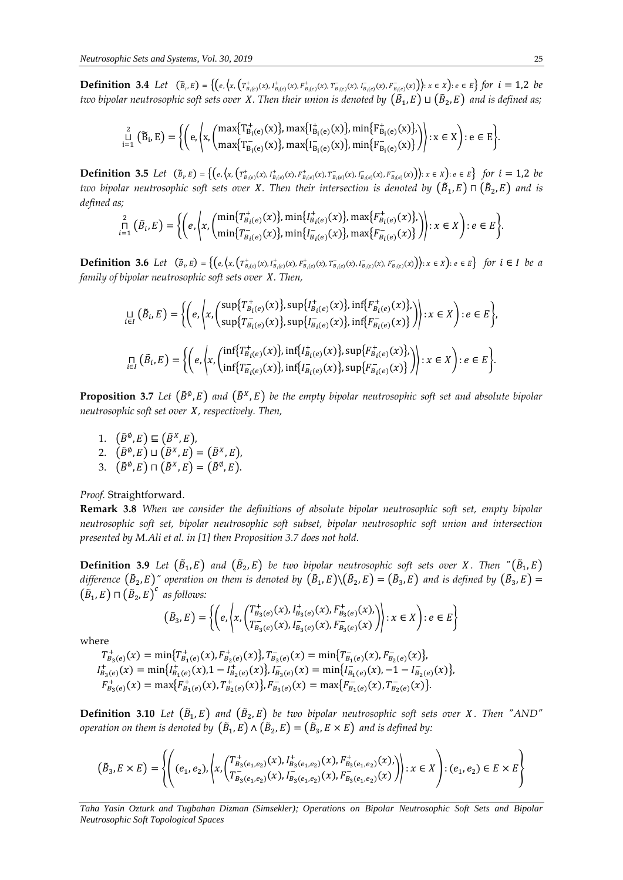**Definition 3.4** Let  $(\tilde{B}_{i}, E) = \{ (e, (x, (T_{B_i(e)}^+(x), I_{B_i(e)}^+(x), T_{B_i(e)}^-(x), I_{B_i(e)}^-(x), I_{B_i(e)}^-(x), F_{B_i(e)}^-(x)) \mid x \in X \}$   $\forall e \in E \}$  for  $i = 1, 2$  be two bipolar neutrosophic soft sets over *X. Then their union is denoted by*  $(\tilde{B}_1,E) \sqcup (\tilde{B}_2,E)$  *and is defined as;* 

$$
\mathop{\mathbb{L}}_{i=1}^{2} (\widetilde{B}_{i}, E) = \left\{ \left( e, \left\langle x, \left( \max \{ T^+_{B_i(e)}(x) \}, \max \{ I^+_{B_i(e)}(x) \}, \min \{ F^+_{B_i(e)}(x) \}, \right) \right\rangle : x \in X \right) : e \in E \right\}.
$$

**Definition 3.5** Let  $(\tilde{B}_{i}, E) = \{ (e, (x, (T^+_{B_i(e)}(x), I^+_{B_i(e)}(x), F^+_{B_i(e)}(x), T^-_{B_i(e)}(x), I^-_{B_i(e)}(x), F^-_{B_i(e)}(x)) \mid x \in X \}$  for  $i = 1, 2$  be two bipolar neutrosophic soft sets over X. Then their intersection is denoted by  $(\tilde B_1, E)\sqcap (\tilde B_2, E)$  and is *defined as;*

$$
\bigcap_{i=1}^{2} (\tilde{B}_{i}, E) = \left\{ \left( e, \left( x, \begin{pmatrix} \min\{T_{B_{i}(e)}^{+}(x)\}, \min\{I_{B_{i}(e)}^{+}(x)\}, \max\{F_{B_{i}(e)}^{+}(x)\}, \\ \min\{T_{B_{i}(e)}^{-}(x)\}, \min\{I_{B_{i}(e)}^{-}(x)\}, \max\{F_{B_{i}(e)}^{-}(x)\} \end{pmatrix} \right) : x \in X \right\} : e \in E \right\}.
$$

**Definition 3.6** Let  $(\tilde{B}_{i}, E) = \{ (e, (x, (T_{B_i(e)}^+(x), I_{B_i(e)}^+(x), F_{B_i(e)}^+(x), I_{B_i(e)}^-(x), I_{B_i(e)}^-(x), F_{B_i(e)}^-(x)) \mid x \in X) : e \in E \}$  for  $i \in I$  be a *family of bipolar neutrosophic soft sets over X. Then,* 

$$
\underset{i\in I}{\sqcup} \left( \tilde{B}_{i}, E \right) = \left\{ \left( e, \left\langle x, \left( \sup_{\text{sup}} \{ T^{+}_{B_{i}(e)}(x) \}, \sup_{\text{sup}} \{ I^{+}_{B_{i}(e)}(x) \}, \inf_{\{ F^{-}_{B_{i}(e)}(x) \} \} \right) \right) : x \in X \right) : e \in E \right\},
$$
\n
$$
\underset{i\in I}{\sqcap} \left( \tilde{B}_{i}, E \right) = \left\{ \left( e, \left\langle x, \left( \inf_{B_{i}(e)} \{ T^{+}_{B_{i}(e)}(x) \}, \inf_{B_{i}(e)} \{ I^{+}_{B_{i}(e)}(x) \}, \sup_{B_{i}(e)} \{ F^{+}_{B_{i}(e)}(x) \}, \sup_{B_{i}(e)} \{ F^{-}_{B_{i}(e)}(x) \} \right) \right) : x \in X \right) : e \in E \right\}.
$$
\n
$$
\underset{i\in I}{\sqcap} \left( \tilde{B}_{i}, E \right) = \left\{ \left( e, \left\langle x, \left( \inf_{B_{i}(e)} \{ T^{-}_{B_{i}(e)}(x) \}, \inf_{B_{i}(e)} \{ I^{-}_{B_{i}(e)}(x) \}, \sup_{B_{i}(F^{-}_{B_{i}(e)}(x) \} \} \right) \right) : x \in X \right) : e \in E \right\}.
$$

**Proposition 3.7** Let  $(\tilde{B}^{\emptyset}, E)$  and  $(\tilde{B}^X, E)$  be the empty bipolar neutrosophic soft set and absolute bipolar *neutrosophic soft set over X, respectively. Then,* 

1.  $(\tilde{B}^{\emptyset}, E) \sqsubseteq (\tilde{B}^X, E)$ , 2.  $(\tilde{B}^{\emptyset}, E) \sqcup (\tilde{B}^X, E) = (\tilde{B}^X, E),$ 3.  $(\tilde{B}^{\emptyset}, E) \sqcap (\tilde{B}^X, E) = (\tilde{B}^{\emptyset}, E).$ 

*Proof.* Straightforward.

**Remark 3.8** *When we consider the definitions of absolute bipolar neutrosophic soft set, empty bipolar neutrosophic soft set, bipolar neutrosophic soft subset, bipolar neutrosophic soft union and intersection presented by M.Ali et al. in [1] then Proposition 3.7 does not hold.* 

 $\bf{Definition 3.9}$   $\it Let\ (\tilde{B}_1,E\)$  and  $(\tilde{B}_2,E\)$  be two bipolar neutrosophic soft sets over  $X.$  Then " $(\tilde{B}_1,E)$ difference  $(\tilde B_2,E)''$  operation on them is denoted by  $(\tilde B_1,E)\backslash(\tilde B_2,E)=(\tilde B_3,E)$  and is defined by  $(\tilde B_3,E)=$  $(\tilde{B}_1, E) \sqcap (\tilde{B}_2, E)^c$  as follows:

$$
(\tilde{B}_3, E) = \left\{ \left( e, \left( x, \left( T^+_{B_3(e)}(x), I^+_{B_3(e)}(x), F^+_{B_3(e)}(x), \right) \right) : x \in X \right) : e \in E \right\}
$$

where

 $T^+_{B_3(e)}(x) = \min\{T^+_{B_1(e)}(x), F^+_{B_2(e)}(x)\}, T^-_{B_3(e)}(x) = \min\{T^-_{B_1(e)}(x), F^-_{B_2(e)}(x)\},$  $I_{B_3(e)}^+(x) = \min\{I_{B_1(e)}^+(x), 1 - I_{B_2(e)}^+(x)\}, I_{B_3(e)}^-(x) = \min\{I_{B_1(e)}^-(x), -1 - I_{B_2(e)}^-(x)\}$  $F_{B_3(e)}^+(x) = \max\{F_{B_1(e)}^+(x), T_{B_2(e)}^+(x)\}, F_{B_3(e)}^-(x) = \max\{F_{B_1(e)}^-(x), T_{B_2(e)}^-(x)\}.$ 

**Definition 3.10** Let  $(\tilde{B}_1, E)$  and  $(\tilde{B}_2, E)$  be two bipolar neutrosophic soft sets over *X*. Then "AND" operation on them is denoted by  $\left(\tilde{B}_{1},E\right)$  ∧  $\left(\tilde{B}_{2},E\right)=\left(\tilde{B}_{3},E\times E\right)$  and is defined by:

$$
(\tilde{B}_3, E \times E) = \left\{ \left( (e_1, e_2), \left\langle x, \left( T^+_{B_3(e_1, e_2)}(x), I^+_{B_3(e_1, e_2)}(x), F^+_{B_3(e_1, e_2)}(x), \right) \right\rangle : x \in X \right) : (e_1, e_2) \in E \times E \right\}
$$

*Taha Yasin Ozturk and Tugbahan Dizman (Simsekler); Operations on Bipolar Neutrosophic Soft Sets and Bipolar Neutrosophic Soft Topological Spaces*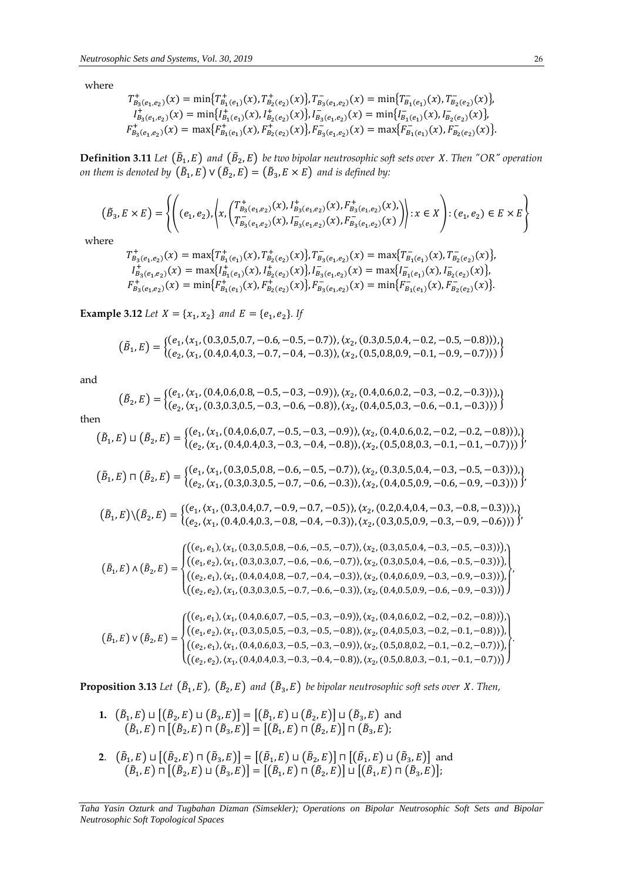where

$$
T_{B_3(e_1, e_2)}^+(x) = \min\{T_{B_1(e_1)}^+(x), T_{B_2(e_2)}^+(x)\}, T_{B_3(e_1, e_2)}^-(x) = \min\{T_{B_1(e_1)}^-(x), T_{B_2(e_2)}^-(x)\},
$$
  
\n
$$
I_{B_3(e_1, e_2)}^+(x) = \min\{I_{B_1(e_1)}^+(x), I_{B_2(e_2)}^+(x)\}, I_{B_3(e_1, e_2)}^-(x) = \min\{I_{B_1(e_1)}^-(x), I_{B_2(e_2)}^-(x)\},
$$
  
\n
$$
F_{B_3(e_1, e_2)}^+(x) = \max\{F_{B_1(e_1)}^+(x), F_{B_2(e_2)}^+(x)\}, F_{B_3(e_1, e_2)}^-(x) = \max\{F_{B_1(e_1)}^-(x), F_{B_2(e_2)}^-(x)\}.
$$

**Definition 3.11** Let  $(\tilde{B}_1, E)$  and  $(\tilde{B}_2, E)$  be two bipolar neutrosophic soft sets over X. Then "OR" operation on them is denoted by  $\left(\tilde{B}_{1},E\right)\vee\left(\tilde{B}_{2},E\right)=\left(\tilde{B}_{3},E\times E\right)$  and is defined by:

$$
(\tilde{B}_3, E \times E) = \left\{ \left( (e_1, e_2), \left\langle x, \left( T^+_{B_3(e_1, e_2)}(x), I^+_{B_3(e_1, e_2)}(x), F^+_{B_3(e_1, e_2)}(x), \right) \right\rangle : x \in X \right) : (e_1, e_2) \in E \times E \right\}
$$

where

$$
T_{B_3(e_1, e_2)}^+(x) = \max\{T_{B_1(e_1)}^+(x), T_{B_2(e_2)}^+(x)\}, T_{B_3(e_1, e_2)}^-(x) = \max\{T_{B_1(e_1)}^-(x), T_{B_2(e_2)}^-(x)\},
$$
  
\n
$$
I_{B_3(e_1, e_2)}^+(x) = \max\{I_{B_1(e_1)}^+(x), I_{B_2(e_2)}^+(x)\}, I_{B_3(e_1, e_2)}^-(x) = \max\{I_{B_1(e_1)}^-(x), I_{B_2(e_2)}^-(x)\},
$$
  
\n
$$
F_{B_3(e_1, e_2)}^+(x) = \min\{F_{B_1(e_1)}^+(x), F_{B_2(e_2)}^+(x)\}, F_{B_3(e_1, e_2)}^-(x) = \min\{F_{B_1(e_1)}^-(x), F_{B_2(e_2)}^-(x)\}.
$$

**Example 3.12** *Let*  $X = \{x_1, x_2\}$  *and*  $E = \{e_1, e_2\}$ *. If* 

$$
(\tilde{B}_1, E) = \{ (e_1, (x_1, (0.3, 0.5, 0.7, -0.6, -0.5, -0.7)), (x_2, (0.3, 0.5, 0.4, -0.2, -0.5, -0.8))), (e_2, (x_1, (0.4, 0.4, 0.3, -0.7, -0.4, -0.3)), (x_2, (0.5, 0.8, 0.9, -0.1, -0.9, -0.7))) \}
$$

and

$$
(\tilde{B}_2, E) = \{ (e_1, (x_1, (0.4, 0.6, 0.8, -0.5, -0.3, -0.9)), (x_2, (0.4, 0.6, 0.2, -0.3, -0.2, -0.3))), \\ (e_2, (x_1, (0.3, 0.3, 0.5, -0.3, -0.6, -0.8)), (x_2, (0.4, 0.5, 0.3, -0.6, -0.1, -0.3))) \}
$$

then

$$
(\tilde{B}_1, E) \sqcup (\tilde{B}_2, E) = \{ (e_1, (x_1, (0.4, 0.6, 0.7, -0.5, -0.3, -0.9)), (x_2, (0.4, 0.6, 0.2, -0.2, -0.2, -0.8))), (e_2, (x_1, (0.4, 0.4, 0.3, -0.3, -0.4, -0.8)), (x_2, (0.5, 0.8, 0.3, -0.1, -0.1, -0.7))) \}
$$

$$
(\tilde{B}_1, E) \sqcap (\tilde{B}_2, E) = \{ (e_1, (x_1, (0.3, 0.5, 0.8, -0.6, -0.5, -0.7)), (x_2, (0.3, 0.5, 0.4, -0.3, -0.5, -0.3))), (e_2, (x_1, (0.3, 0.3, 0.5, -0.7, -0.6, -0.3)), (x_2, (0.4, 0.5, 0.9, -0.6, -0.9, -0.3))) \}
$$

$$
(\tilde{B}_1, E) \setminus (\tilde{B}_2, E) = \begin{cases} (e_1, (x_1, (0.3, 0.4, 0.7, -0.9, -0.7, -0.5)), (x_2, (0.2, 0.4, 0.4, -0.3, -0.8, -0.3))), \\ (e_2, (x_1, (0.4, 0.4, 0.3, -0.8, -0.4, -0.3)), (x_2, (0.3, 0.5, 0.9, -0.3, -0.9, -0.6))) \end{cases})'
$$

$$
\left(\tilde{B}_1, E\right) \land \left(\tilde{B}_2, E\right) = \begin{cases}\n\left( (e_1, e_1), (x_1, (0.3, 0.5, 0.8, -0.6, -0.5, -0.7)), (x_2, (0.3, 0.5, 0.4, -0.3, -0.5, -0.3)) \right), \\
\left( (e_1, e_2), (x_1, (0.3, 0.3, 0.7, -0.6, -0.6, -0.7)), (x_2, (0.3, 0.5, 0.4, -0.6, -0.5, -0.3)) \right), \\
\left( (e_2, e_1), (x_1, (0.4, 0.4, 0.8, -0.7, -0.4, -0.3)), (x_2, (0.4, 0.6, 0.9, -0.3, -0.9, -0.3)) \right), \\
\left( (e_2, e_2), (x_1, (0.3, 0.3, 0.5, -0.7, -0.6, -0.3)), (x_2, (0.4, 0.5, 0.9, -0.6, -0.9, -0.3)) \right)\right)\n\end{cases}
$$

$$
\left(\tilde{B}_1, E\right) \vee \left(\tilde{B}_2, E\right) = \begin{cases}\n\left( (e_1, e_1), (x_1, (0.4, 0.6, 0.7, -0.5, -0.3, -0.9)), (x_2, (0.4, 0.6, 0.2, -0.2, -0.2, -0.8)), \\
\left( (e_1, e_2), (x_1, (0.3, 0.5, 0.5, -0.3, -0.5, -0.8)), (x_2, (0.4, 0.5, 0.3, -0.2, -0.1, -0.8)), \right) \\
\left( (e_2, e_1), (x_1, (0.4, 0.6, 0.3, -0.5, -0.3, -0.9)), (x_2, (0.5, 0.8, 0.2, -0.1, -0.2, -0.7)) \right), \\
\left( (e_2, e_2), (x_1, (0.4, 0.4, 0.3, -0.3, -0.4, -0.8)), (x_2, (0.5, 0.8, 0.3, -0.1, -0.7, -0.7)) \right)\n\end{cases}
$$

**Proposition 3.13** Let  $(\tilde{B}_1, E)$ ,  $(\tilde{B}_2, E)$  and  $(\tilde{B}_3, E)$  be bipolar neutrosophic soft sets over X. Then,

- **1.**  $(\tilde{B}_1, E) \sqcup [(\tilde{B}_2, E) \sqcup (\tilde{B}_3, E)] = [(\tilde{B}_1, E) \sqcup (\tilde{B}_2, E)] \sqcup (\tilde{B}_3, E)$  and  $(\tilde{B}_1, E) \sqcap [(\tilde{B}_2, E) \sqcap (\tilde{B}_3, E)] = [(\tilde{B}_1, E) \sqcap (\tilde{B}_2, E)] \sqcap (\tilde{B}_3, E);$
- **2.**  $(\tilde{B}_1, E) \sqcup [(\tilde{B}_2, E) \sqcap (\tilde{B}_3, E)] = [(\tilde{B}_1, E) \sqcup (\tilde{B}_2, E)] \sqcap [(\tilde{B}_1, E) \sqcup (\tilde{B}_3, E)]$  and  $\left(\tilde{B}_1,E\right)\sqcap\left[\left(\tilde{B}_2,E\right)\sqcup\left(\tilde{B}_3,E\right)\right]=\left[\left(\tilde{B}_1,E\right)\sqcap\left(\tilde{B}_2,E\right)\right]\sqcup\left[\left(\tilde{B}_1,E\right)\sqcap\left(\tilde{B}_3,E\right)\right];$

*Taha Yasin Ozturk and Tugbahan Dizman (Simsekler); Operations on Bipolar Neutrosophic Soft Sets and Bipolar Neutrosophic Soft Topological Spaces*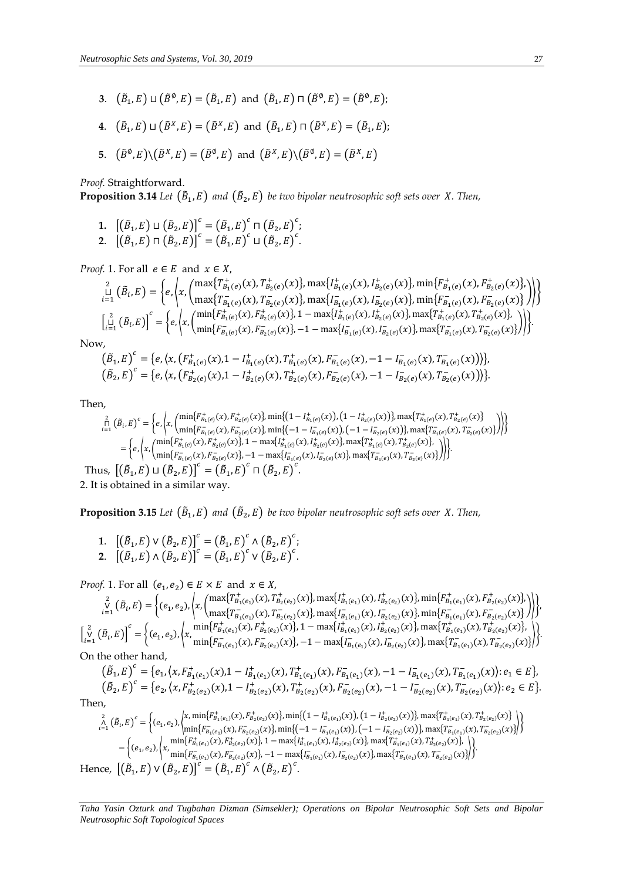- **3**.  $(\tilde{B}_1, E) \sqcup (\tilde{B}^{\emptyset}, E) = (\tilde{B}_1, E)$  and  $(\tilde{B}_1, E) \sqcap (\tilde{B}^{\emptyset}, E) = (\tilde{B}^{\emptyset}, E)$ ;
- **4**.  $(\tilde{B}_1, E) \sqcup (\tilde{B}^X, E) = (\tilde{B}^X, E)$  and  $(\tilde{B}_1, E) \sqcap (\tilde{B}^X, E) = (\tilde{B}_1, E)$ ;
- **5**.  $(\tilde{B}^{\emptyset}, E) \setminus (\tilde{B}^X, E) = (\tilde{B}^{\emptyset}, E)$  and  $(\tilde{B}^X, E) \setminus (\tilde{B}^{\emptyset}, E) = (\tilde{B}^X, E)$

*Proof.* Straightforward.

**Proposition 3.14** Let  $(\tilde{B}_1, E)$  and  $(\tilde{B}_2, E)$  be two bipolar neutrosophic soft sets over  $X$ . Then,

- ${\bf 1.}\quad \left[\left(\tilde{B}_1,E\right)\sqcup\left(\tilde{B}_2,E\right)\right]^c=\left(\tilde{B}_1,E\right)^c\sqcap\left(\tilde{B}_2,E\right)^c;$
- **2.**  $[(\tilde{B}_1, E) \sqcap (\tilde{B}_2, E)]^c = (\tilde{B}_1, E)^c \sqcup (\tilde{B}_2, E)^c$ .

*Proof.* 1. For all  $e \in E$  and  $x \in X$ ,

$$
\begin{aligned}\n\hat{L}^{2}_{i=1}(\tilde{B}_{i},E) &= \left\{ e, \left\langle x, \begin{pmatrix} \max\{T^{+}_{B_{1}(e)}(x), T^{+}_{B_{2}(e)}(x)\}, \max\{I^{+}_{B_{1}(e)}(x), I^{+}_{B_{2}(e)}(x)\}, \min\{F^{+}_{B_{1}(e)}(x), F^{+}_{B_{2}(e)}(x)\}, \\ \max\{T^{-}_{B_{1}(e)}(x), T^{-}_{B_{2}(e)}(x)\}, \max\{I^{-}_{B_{1}(e)}(x), I^{-}_{B_{2}(e)}(x)\}, \min\{F^{-}_{B_{1}(e)}(x), F^{-}_{B_{2}(e)}(x)\} \end{pmatrix} \right) \\
\hat{L}^{2}_{i=1}(\tilde{B}_{i},E)\n\end{aligned}\n\begin{aligned}\n&\sum_{i=1}^{n} \left( \tilde{B}_{i},E \right) &= \left\{ e, \left\langle x, \begin{pmatrix} \min\{F^{+}_{B_{1}(e)}(x), F^{-}_{B_{2}(e)}(x)\}, 1 - \max\{I^{+}_{B_{1}(e)}(x), I^{+}_{B_{2}(e)}(x)\}, \max\{T^{-}_{B_{1}(e)}(x), T^{-}_{B_{2}(e)}(x)\}, \\ \min\{F^{-}_{B_{1}(e)}(x), F^{-}_{B_{2}(e)}(x)\}, -1 - \max\{I^{-}_{B_{1}(e)}(x), I^{-}_{B_{2}(e)}(x)\}, \max\{T^{-}_{B_{1}(e)}(x), T^{-}_{B_{2}(e)}(x)\} \end{pmatrix} \right)\n\end{aligned}\n\end{aligned}
$$

Now,

$$
(\tilde{B}_1, E)^c = \{e, \langle x, (F_{B_1(e)}^+(x), 1 - I_{B_1(e)}^+(x), F_{B_1(e)}^-(x), F_{B_1(e)}^-(x), -1 - I_{B_1(e)}^-(x), T_{B_1(e)}^-(x))\rangle\},\newline (\tilde{B}_2, E)^c = \{e, \langle x, (F_{B_2(e)}^+(x), 1 - I_{B_2(e)}^+(x), T_{B_2(e)}^+(x), F_{B_2(e)}^-(x), -1 - I_{B_2(e)}^-(x), T_{B_2(e)}^-(x))\rangle\}.
$$

Then,

$$
\begin{split} \mathop{\mathbb{P}}_{i=1}^2 \left( \tilde{B}_i, E \right)^c & = \left\{ e, \left\langle x, \begin{pmatrix} \min\{F^+_{B_1(e)}(x), F^+_{B_2(e)}(x)\}, \min\{(1 - I^+_{B_1(e)}(x)), (1 - I^+_{B_2(e)}(x)\}), \max\{T^+_{B_1(e)}(x), T^+_{B_2(e)}(x)\} \\ \min\{F^-_{B_1(e)}(x), F^-_{B_2(e)}(x)\}, \min\{(-1 - I^-_{B_1(e)}(x)), (-1 - I^-_{B_2(e)}(x)\}), \max\{T^-_{B_1(e)}(x), T^-_{B_2(e)}(x)\} \end{pmatrix} \right) \right\} \\ & = \left\{ e, \left\langle x, \begin{pmatrix} \min\{F^+_{B_1(e)}(x), F^+_{B_2(e)}(x)\}, 1 - \max\{I^+_{B_1(e)}(x), I^+_{B_2(e)}(x)\}, \max\{T^+_{B_1(e)}(x), T^+_{B_2(e)}(x)\}, \\ \min\{F^-_{B_1(e)}(x), F^-_{B_2(e)}(x)\}, -1 - \max\{I^-_{B_1(e)}(x), I^-_{B_2(e)}(x)\}, \max\{T^-_{B_1(e)}(x), T^-_{B_2(e)}(x)\} \end{pmatrix} \right\rangle \right\} \\ & \text{Thus, } \left[ \left(\tilde{B}_1, E\right) \sqcup \left(\tilde{B}_2, E\right) \right]^c = \left(\tilde{B}_1, E\right)^c \sqcap \left(\tilde{B}_2, E\right)^c. \end{split}
$$

2. It is obtained in a similar way.

**Proposition 3.15** Let  $(\tilde{B}_1, E)$  and  $(\tilde{B}_2, E)$  be two bipolar neutrosophic soft sets over  $X$ . Then,

1. 
$$
[(\tilde{B}_1, E) \vee (\tilde{B}_2, E)]^c = (\tilde{B}_1, E)^c \wedge (\tilde{B}_2, E)^c;
$$
  
2. 
$$
[(\tilde{B}_1, E) \wedge (\tilde{B}_2, E)]^c = (\tilde{B}_1, E)^c \vee (\tilde{B}_2, E)^c.
$$

*Proof.* 1. For all  $(e_1, e_2) \in E \times E$  and  $x \in X$ ,

∨ 2 =1 (̃ , ) = {(1, <sup>2</sup> ),⟨, ( max{1(1) + (), 2(2) + ()}, max{1(1) + (),2(2) + ()}, min{1(1) + (), 2(2) + ()}, max{1(1) − (), 2(2) − ()}, max{1(1) − (),2(2) − ()}, min{1(1) − (), 2(2) − ()} )⟩}, [ ∨ 2 =1 (̃ , )] = {(1, <sup>2</sup> ),⟨, min{1(1) + (), 2(2) + ()}, 1 − max{1(1) + (),2(2) + ()}, max{1(1) + (), 2(2) + ()}, min{1(1) − (), 2(2) − ()}, −1 − max{1(1) − (),2(2) − ()}, max{1(1) − (), 2(2) − ()} ⟩}.

On the other hand,

$$
\begin{aligned} &\left(\tilde{B}_1, E\right)^c = \left\{e_1, \left\langle x, F_{B_1(e_1)}^+(x), 1 - I_{B_1(e_1)}^+(x), T_{B_1(e_1)}^+(x), F_{B_1(e_1)}^-(x), -1 - I_{B_1(e_1)}^-(x), T_{B_1(e_1)}^-(x)\right\rangle : e_1 \in E\right\},\\ &\left(\tilde{B}_2, E\right)^c = \left\{e_2, \left\langle x, F_{B_2(e_2)}^+(x), 1 - I_{B_2(e_2)}^+(x), T_{B_2(e_2)}^+(x), F_{B_2(e_2)}^-(x), -1 - I_{B_2(e_2)}^-(x), T_{B_2(e_2)}^-(x)\right\rangle : e_2 \in E\right\}. \end{aligned}
$$

Then,

$$
\begin{split} \overset{2}{\underset{i=1}{\wedge}} \left( \tilde{B}_{i}, E \right)^{c} &= \left\{ (e_{1}, e_{2}), \left\langle x, \min\{F_{B_{1}(e_{1})}^{+}(x), F_{B_{2}(e_{2})}^{+}(x)\}, \min\{(1 - I_{B_{1}(e_{1})}^{+}(x)), (1 - I_{B_{2}(e_{2})}^{+}(x))\}, \max\{T_{B_{1}(e_{1})}^{+}(x), T_{B_{2}(e_{2})}^{+}(x)\} \right\} \right) \\ &= \left\{ (e_{1}, e_{2}), \left\langle x, \min\{F_{B_{1}(e_{1})}^{+}(x), F_{B_{2}(e_{2})}^{-}(x)\}, 1 - \max\{I_{B_{1}(e_{1})}^{+}(x), I_{B_{2}(e_{2})}^{+}(x)\}, \max\{T_{B_{1}(e_{1})}^{+}(x), T_{B_{2}(e_{2})}^{+}(x)\}, \Gamma_{B_{2}(e_{2})}^{-}(x)\} \right\} \right) \\ &= \left\{ (e_{1}, e_{2}), \left\langle x, \min\{F_{B_{1}(e_{1})}^{+}(x), F_{B_{2}(e_{2})}^{+}(x)\}, 1 - \max\{I_{B_{1}(e_{1})}^{+}(x), I_{B_{2}(e_{2})}^{+}(x)\}, \max\{T_{B_{1}(e_{1})}^{+}(x), T_{B_{2}(e_{2})}^{+}(x)\}, \Gamma_{B_{2}(e_{2})}^{-}(x)\} \right\} \right) \\ &+ \left\{ (e_{1}, e_{2}), \left\langle x, \min\{F_{B_{1}(e_{1})}^{-}(x), F_{B_{2}(e_{2})}^{-}(x)\}, -1 - \max\{I_{B_{1}(e_{1})}^{-}(x), I_{B_{2}(e_{2})}^{-}(x)\}, \max\{T_{B_{1}(e_{1})}^{-}(x), T_{B_{2}(e_{2})}^{-}(x)\} \right\} \right\} \\ &+ \left\{ (e_{1}, e_{2}), \left\langle x, \min\{F_{B_{1}(e_{1})}^{-}(x), F_{B_{2}(e_{2})}^{-}(x)\}, -1 - \max\{I_{B_{1}(e_{1})}^{-}(x), I_{B_{2}(e_{2})}^{-}(x)\}, \max\{T_{B_{1}(e_{1
$$

*Taha Yasin Ozturk and Tugbahan Dizman (Simsekler); Operations on Bipolar Neutrosophic Soft Sets and Bipolar Neutrosophic Soft Topological Spaces*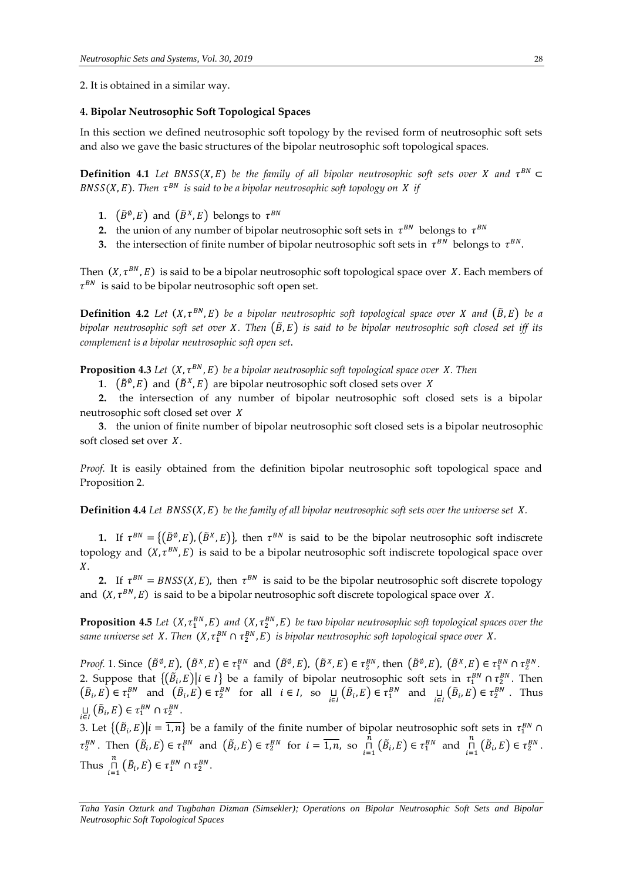2. It is obtained in a similar way.

### **4. Bipolar Neutrosophic Soft Topological Spaces**

In this section we defined neutrosophic soft topology by the revised form of neutrosophic soft sets and also we gave the basic structures of the bipolar neutrosophic soft topological spaces.

**Definition 4.1** Let BNSS(X, E) be the family of all bipolar neutrosophic soft sets over X and  $\tau^{BN} \subset$  $BNSS(X, E)$ . Then  $\tau^{BN}$  is said to be a bipolar neutrosophic soft topology on  $X$  if

- **1**.  $(\tilde{B}^{\emptyset}, E)$  and  $(\tilde{B}^{X}, E)$  belongs to  $\tau^{BN}$
- **2.** the union of any number of bipolar neutrosophic soft sets in  $\tau^{BN}$  belongs to  $\tau^{BN}$
- **3.** the intersection of finite number of bipolar neutrosophic soft sets in  $\tau^{BN}$  belongs to  $\tau^{BN}$ .

Then  $(X, \tau^{BN}, E)$  is said to be a bipolar neutrosophic soft topological space over X. Each members of  $\tau^{BN}$  is said to be bipolar neutrosophic soft open set.

**Definition 4.2** Let  $(X, \tau^{BN}, E)$  be a bipolar neutrosophic soft topological space over X and  $(\tilde{B}, E)$  be a *bipolar neutrosophic soft set over X. Then*  $(\tilde{B}, E)$  *is said to be bipolar neutrosophic soft closed set iff its complement is a bipolar neutrosophic soft open set*.

**Proposition 4.3** Let  $(X, \tau^{BN}, E)$  be a bipolar neutrosophic soft topological space over X. Then

**1**.  $(\tilde{B}^{\emptyset}, E)$  and  $(\tilde{B}^X, E)$  are bipolar neutrosophic soft closed sets over X

 **2.** the intersection of any number of bipolar neutrosophic soft closed sets is a bipolar neutrosophic soft closed set over

 **3**. the union of finite number of bipolar neutrosophic soft closed sets is a bipolar neutrosophic soft closed set over  $X$ .

*Proof.* It is easily obtained from the definition bipolar neutrosophic soft topological space and Proposition 2.

**Definition 4.4** Let  $BNSS(X, E)$  be the family of all bipolar neutrosophic soft sets over the universe set  $X$ .

**1.** If  $\tau^{BN} = \{(\tilde{B}^{\emptyset}, E), (\tilde{B}^X, E)\}\$ , then  $\tau^{BN}$  is said to be the bipolar neutrosophic soft indiscrete topology and  $(X, \tau^{BN}, E)$  is said to be a bipolar neutrosophic soft indiscrete topological space over  $X$ .

**2.** If  $\tau^{BN} = B N S S(X, E)$ , then  $\tau^{BN}$  is said to be the bipolar neutrosophic soft discrete topology and  $(X, \tau^{BN}, E)$  is said to be a bipolar neutrosophic soft discrete topological space over X.

**Proposition 4.5** Let  $(X, \tau_1^{BN}, E)$  and  $(X, \tau_2^{BN}, E)$  be two bipolar neutrosophic soft topological spaces over the same universe set  $X$ . Then  $(X, \tau_1^{BN} \cap \tau_2^{BN}, E)$  is bipolar neutrosophic soft topological space over  $X$ .

*Proof.* 1. Since  $(\tilde{B}^{\emptyset}, E)$ ,  $(\tilde{B}^X, E) \in \tau_1^{BN}$  and  $(\tilde{B}^{\emptyset}, E)$ ,  $(\tilde{B}^X, E) \in \tau_2^{BN}$ , then  $(\tilde{B}^{\emptyset}, E)$ ,  $(\tilde{B}^X, E) \in \tau_1^{BN} \cap \tau_2^{BN}$ . 2. Suppose that  $\{(\tilde{B}_i, E)|i \in I\}$  be a family of bipolar neutrosophic soft sets in  $\tau_1^{BN} \cap \tau_2^{BN}$ . Then  $(\tilde{B}_i, E) \in \tau_1^{BN}$  and  $(\tilde{B}_i, E) \in \tau_2^{BN}$  for all  $i \in I$ , so  $\prod_{i \in I} (\tilde{B}_i, E) \in \tau_1^{BN}$  and  $\prod_{i \in I} (\tilde{B}_i, E) \in \tau_2^{BN}$ . Thus  $\sqcup_{i \in I} (\tilde{B}_i, E) \in \tau_1^{BN} \cap \tau_2^{BN}.$ 

 $\mathcal{L}_{i\in I}$  ( $\mathcal{L}_{i}^{(i)}$ )  $\mathcal{L}_{i}^{(i)}$  =  $\frac{1}{1,n}$  be a family of the finite number of bipolar neutrosophic soft sets in  $\tau_{1}^{BN}$   $\cap$  $\tau_2^{BN}$ . Then  $(\tilde{B}_i, E) \in \tau_1^{BN}$  and  $(\tilde{B}_i, E) \in \tau_2^{BN}$  for  $i = \overline{1, n}$ , so  $\overline{B}$  $\prod_{i=1}^{\tilde{n}} (\tilde{B}_i, E) \in \tau_1^{BN}$  and  $\prod_{i=1}^{\tilde{n}}$  $\mathop{\sqcap}\limits_{i=1}^n\left(\tilde{B}_i,E\right)\in\tau_2^{BN}$ . Thus  $\prod_{n=1}^n$  $\mathop{\sqcap}\limits_{i=1}^{n} \left( \tilde{B}_{i}, E \right) \in \tau_{1}^{BN} \cap \tau_{2}^{BN}.$ 

*Taha Yasin Ozturk and Tugbahan Dizman (Simsekler); Operations on Bipolar Neutrosophic Soft Sets and Bipolar Neutrosophic Soft Topological Spaces*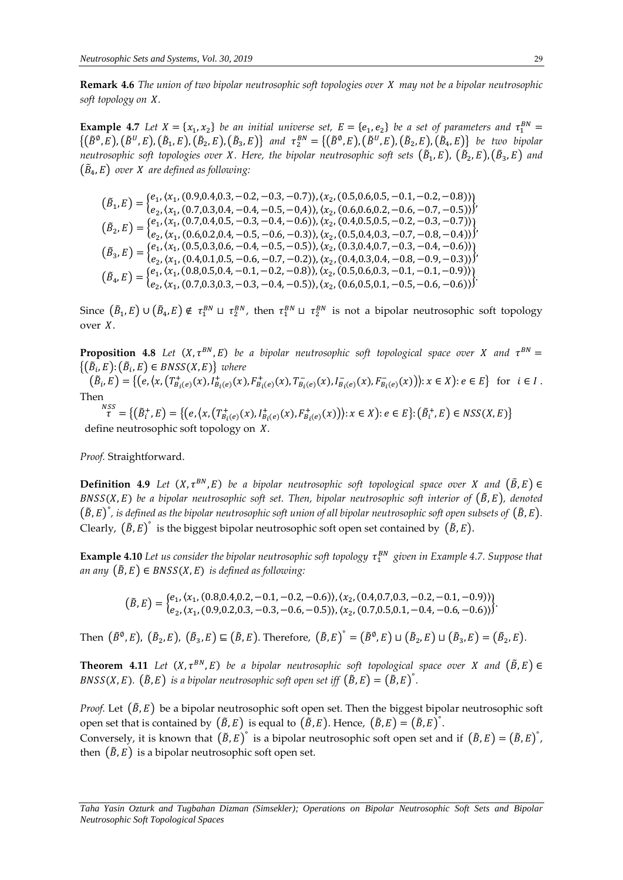**Remark 4.6** *The union of two bipolar neutrosophic soft topologies over may not be a bipolar neutrosophic*  soft topology on X.

**Example 4.7** Let  $X = \{x_1, x_2\}$  be an initial universe set,  $E = \{e_1, e_2\}$  be a set of parameters and  $\tau_1^{BN} =$  $\{(\tilde{B}^{\emptyset},E),(\tilde{B}^U,E),(\tilde{B}_1,E),(\tilde{B}_2,E),(\tilde{B}_3,E)\}\$ and  $\tau_2^{BN} = \{(\tilde{B}^{\emptyset},E),(\tilde{B}^U,E),(\tilde{B}_2,E),(\tilde{B}_4,E)\}\$ be two bipolar neutrosophic soft topologies over X. Here, the bipolar neutrosophic soft sets  $(\tilde B_1, E)$ ,  $(\tilde B_2, E)$ , $(\tilde B_3, E)$  and  $(\tilde{B}_4,E)$  over  $X$  are defined as following:

$$
\begin{aligned}\n(\tilde{B}_1, E) &= \begin{cases}\ne_1, \langle x_1, (0.9, 0.4, 0.3, -0.2, -0.3, -0.7) \rangle, \langle x_2, (0.5, 0.6, 0.5, -0.1, -0.2, -0.8) \rangle \\
e_2, \langle x_1, (0.7, 0.3, 0.4, -0.4, -0.5, -0.4) \rangle, \langle x_2, (0.6, 0.6, 0.2, -0.6, -0.7, -0.5) \rangle \end{cases}, \\
(\tilde{B}_2, E) &= \begin{cases}\ne_1, \langle x_1, (0.7, 0.4, 0.5, -0.3, -0.4, -0.6) \rangle, \langle x_2, (0.4, 0.5, 0.5, -0.2, -0.3, -0.7) \rangle \\
e_2, \langle x_1, (0.6, 0.2, 0.4, -0.5, -0.6, -0.3) \rangle, \langle x_2, (0.5, 0.4, 0.3, -0.7, -0.8, -0.4) \rangle \end{cases}, \\
(\tilde{B}_3, E) &= \begin{cases}\ne_1, \langle x_1, (0.5, 0.3, 0.6, -0.4, -0.5, -0.5) \rangle, \langle x_2, (0.3, 0.4, 0.7, -0.3, -0.4, -0.6) \rangle \\
e_2, \langle x_1, (0.4, 0.1, 0.5, -0.6, -0.7, -0.2) \rangle, \langle x_2, (0.4, 0.3, 0.4, -0.8, -0.9, -0.3) \rangle \end{cases}, \\
(\tilde{B}_4, E) &= \begin{cases}\ne_1, \langle x_1, (0.8, 0.5, 0.4, -0.1, -0.2, -0.8) \rangle, \langle x_2, (0.5, 0.6, 0.3, -0.1, -0.1, -0.9) \rangle \\
e_2, \langle x_1, (0.7, 0.3, 0.3, -0.3, -0.4, -0.5) \rangle, \langle x_2, (0.6, 0.5, 0.1, -0.5, -0.6, -0.6) \rangle \end{cases}\n\end
$$

Since  $(\tilde{B}_1,E)\cup(\tilde{B}_4,E)\notin \tau_1^{BN}\sqcup \tau_2^{BN}$ , then  $\tau_1^{BN}\sqcup \tau_2^{BN}$  is not a bipolar neutrosophic soft topology over  $X$ .

**Proposition 4.8** Let  $(X, \tau^{BN}, E)$  be a bipolar neutrosophic soft topological space over X and  $\tau^{BN} =$  $\{(\tilde{B}_i, E) : (\tilde{B}_i, E) \in BNSS(X, E)\}\$  where

 $(\tilde{B}_i, E) = \{ (e, \langle x, (T_{B_i(e)}^+(x), I_{B_i(e)}^+(x), F_{B_i(e)}^+(x), T_{B_i(e)}^-(x), I_{B_i(e)}^-(x), F_{B_i(e)}^-(x)) \rangle : x \in X \}$  for  $i \in I$ . Then

 $\mathcal{L}^{NSS}_{\tau} = \{(\tilde{B}^+_i, E) = \{ (e, \langle x, (T^+_{B_i(e)}(x), I^+_{B_i(e)}(x), F^+_{B_i(e)}(x)) \rangle : x \in X) : e \in E \} : (\tilde{B}^+_i, E) \in NSS(X, E) \}$ define neutrosophic soft topology on  $X$ .

*Proof.* Straightforward.

**Definition 4.9** Let  $(X, \tau^{BN}, E)$  be a bipolar neutrosophic soft topological space over X and  $(\tilde{B}, E) \in$  $BNSS(X, E)$  be a bipolar neutrosophic soft set. Then, bipolar neutrosophic soft interior of  $(\tilde{B}, E)$ , denoted  $(\tilde{B}, E)^{\degree}$ , is defined as the bipolar neutrosophic soft union of all bipolar neutrosophic soft open subsets of  $(\tilde{B}, E)$ . Clearly,  $(\tilde{B}, E)^{\circ}$  is the biggest bipolar neutrosophic soft open set contained by  $(\tilde{B}, E)$ .

 $\bf{Example~4.10}$  Let us consider the bipolar neutrosophic soft topology  $\tau_1^{BN}$  given in Example 4.7. Suppose that *an any*  $(\tilde{B}, E) \in BNSS(X, E)$  *is defined as following:* 

$$
(\tilde{B}, E) = \begin{cases} e_1, \langle x_1, (0.8, 0.4, 0.2, -0.1, -0.2, -0.6) \rangle, \langle x_2, (0.4, 0.7, 0.3, -0.2, -0.1, -0.9) \rangle \\ e_2, \langle x_1, (0.9, 0.2, 0.3, -0.3, -0.6, -0.5) \rangle, \langle x_2, (0.7, 0.5, 0.1, -0.4, -0.6, -0.6) \rangle \end{cases}
$$

Then  $(\tilde{B}^{\emptyset}, E)$ ,  $(\tilde{B}_2, E)$ ,  $(\tilde{B}_3, E) \subseteq (\tilde{B}, E)$ . Therefore,  $(\tilde{B}, E)^{\circ} = (\tilde{B}^{\emptyset}, E) \sqcup (\tilde{B}_2, E) \sqcup (\tilde{B}_3, E) = (\tilde{B}_2, E)$ .

**Theorem 4.11** Let  $(X, \tau^{BN}, E)$  be a bipolar neutrosophic soft topological space over X and  $(\tilde{B}, E) \in$  $BNSS(X, E)$ .  $(\tilde{B}, E)$  is a bipolar neutrosophic soft open set iff  $(\tilde{B}, E) = (\tilde{B}, E)^{\circ}$ .

*Proof.* Let  $(\tilde{B}, E)$  be a bipolar neutrosophic soft open set. Then the biggest bipolar neutrosophic soft open set that is contained by  $(\tilde{B}, E)$  is equal to  $(\tilde{B}, E)$ . Hence,  $(\tilde{B}, E) = (\tilde{B}, E)^{\tilde{}}$ . Conversely, it is known that  $(\tilde{B}, E)^{\circ}$  is a bipolar neutrosophic soft open set and if  $(\tilde{B}, E) = (\tilde{B}, E)^{\circ}$ , then  $(\tilde{B}, E)$  is a bipolar neutrosophic soft open set.

*Taha Yasin Ozturk and Tugbahan Dizman (Simsekler); Operations on Bipolar Neutrosophic Soft Sets and Bipolar Neutrosophic Soft Topological Spaces*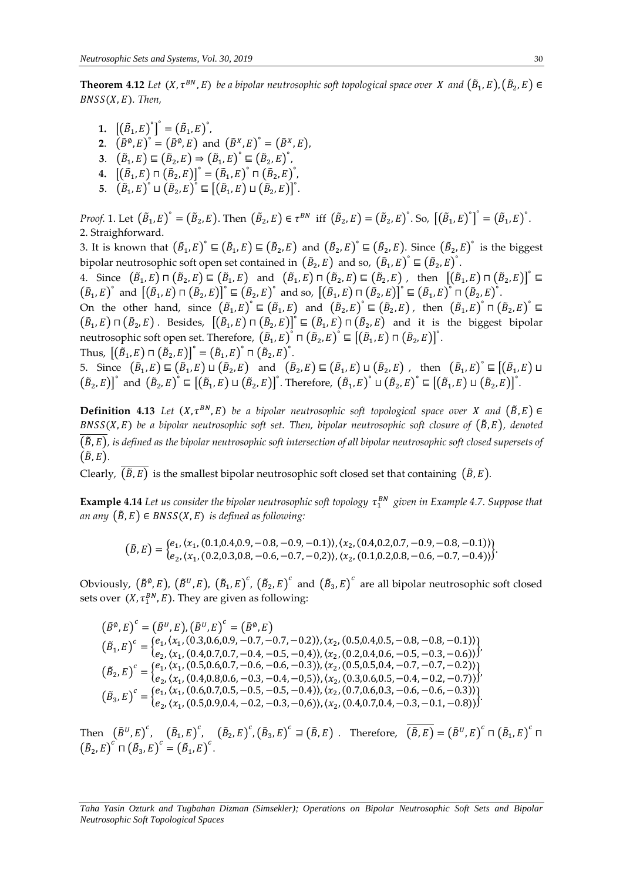**Theorem 4.12** Let  $(X, \tau^{BN}, E)$  be a bipolar neutrosophic soft topological space over  $X$  and  $(\tilde{B}_1, E), (\tilde{B}_2, E) \in$  $BNSS(X, E)$ . Then,

**1.**  $[(\tilde{B}_1, E)^{\circ}]^{\circ} = (\tilde{B}_1, E)^{\circ}$ , **2.**  $(\tilde{B}^{\emptyset}, E)^{\circ} = (\tilde{B}^{\emptyset}, E)$  and  $(\tilde{B}^X, E)^{\circ} = (\tilde{B}^X, E)$ , 3.  $(\tilde{B}_1, E) \sqsubseteq (\tilde{B}_2, E) \Rightarrow (\tilde{B}_1, E)^{\circ} \sqsubseteq (\tilde{B}_2, E)^{\circ}$ , **4.**  $[(\tilde{B}_1, E) \Pi (\tilde{B}_2, E)]^{\circ} = (\tilde{B}_1, E)^{\circ} \Pi (\tilde{B}_2, E)^{\circ}$ **5.**  $(\tilde{B}_1, E)^{\circ} \sqcup (\tilde{B}_2, E)^{\circ} \sqsubseteq [(\tilde{B}_1, E) \sqcup (\tilde{B}_2, E)]^{\circ}$ .

*Proof.* 1. Let  $(\tilde{B}_1, E)^{\circ} = (\tilde{B}_2, E)$ . Then  $(\tilde{B}_2, E) \in \tau^{BN}$  iff  $(\tilde{B}_2, E) = (\tilde{B}_2, E)^{\circ}$ . So,  $[(\tilde{B}_1, E)^{\circ}]^{\circ} = (\tilde{B}_1, E)^{\circ}$ . 2. Straighforward.

3. It is known that  $(\tilde{B}_1, E)^{\circ} \sqsubseteq (\tilde{B}_1, E) \sqsubseteq (\tilde{B}_2, E)$  and  $(\tilde{B}_2, E)^{\circ} \sqsubseteq (\tilde{B}_2, E)$ . Since  $(\tilde{B}_2, E)^{\circ}$  is the biggest bipolar neutrosophic soft open set contained in  $(\tilde{B}_2, E)$  and so,  $(\tilde{B}_1, E)^{\circ} \subseteq (\tilde{B}_2, E)^{\circ}$ .

4. Since  $(\tilde{B}_1, E) \sqcap (\tilde{B}_2, E) \sqsubseteq (\tilde{B}_1, E)$  and  $(\tilde{B}_1, E) \sqcap (\tilde{B}_2, E) \sqsubseteq (\tilde{B}_2, E)$ , then  $[(\tilde{B}_1, E) \sqcap (\tilde{B}_2, E)]^{\circ} \sqsubseteq$  $(\tilde{B}_1, E)^{\circ}$  and  $[(\tilde{B}_1, E) \sqcap (\tilde{B}_2, E)]^{\circ} \subseteq (\tilde{B}_2, E)^{\circ}$  and so,  $[(\tilde{B}_1, E) \sqcap (\tilde{B}_2, E)]^{\circ} \subseteq (\tilde{B}_1, E)^{\circ} \sqcap (\tilde{B}_2, E)^{\circ}$ .

On the other hand, since  $(\tilde{B}_1, E)^{\circ} \subseteq (\tilde{B}_1, E)$  and  $(\tilde{B}_2, E)^{\circ} \subseteq (\tilde{B}_2, E)$ , then  $(\tilde{B}_1, E)^{\circ} \cap (\tilde{B}_2, E)^{\circ} \subseteq$  $(\tilde{B}_1, E) \sqcap (\tilde{B}_2, E)$ . Besides,  $[(\tilde{B}_1, E) \sqcap (\tilde{B}_2, E)]^{\circ} \sqsubseteq (\tilde{B}_1, E) \sqcap (\tilde{B}_2, E)$  and it is the biggest bipolar neutrosophic soft open set. Therefore,  $(\tilde{B}_1, E)^{\circ} \sqcap (\tilde{B}_2, E)^{\circ} \sqsubseteq [(\tilde{B}_1, E) \sqcap (\tilde{B}_2, E)]^{\circ}$ . Thus,  $[(\tilde{B}_1, E) \sqcap (\tilde{B_2}, E)]^{\circ} = (\tilde{B}_1, E)^{\circ} \sqcap (\tilde{B}_2, E)^{\circ}.$ 

5. Since  $(\tilde{B}_1, E) \sqsubseteq (\tilde{B}_1, E) \sqcup (\tilde{B}_2, E)$  and  $(\tilde{B}_2, E) \sqsubseteq (\tilde{B}_1, E) \sqcup (\tilde{B}_2, E)$ , then  $(\tilde{B}_1, E) \sqsubseteq [(\tilde{B}_1, E) \sqcup$  $(\tilde{B}_2, E)^{\circ}$  and  $(\tilde{B}_2, E)^{\circ} \subseteq [(\tilde{B}_1, E) \sqcup (\tilde{B}_2, E)]^{\circ}$ . Therefore,  $(\tilde{B}_1, E)^{\circ} \sqcup (\tilde{B}_2, E)^{\circ} \sqsubseteq [(\tilde{B}_1, E) \sqcup (\tilde{B}_2, E)]^{\circ}$ .

**Definition 4.13** Let  $(X, \tau^{BN}, E)$  be a bipolar neutrosophic soft topological space over X and  $(\tilde{B}, E) \in$  $BNSS(X, E)$  be a bipolar neutrosophic soft set. Then, bipolar neutrosophic soft closure of  $(\tilde{B}, E)$ , denoted (̃, )*, is defined as the bipolar neutrosophic soft intersection of all bipolar neutrosophic soft closed supersets of*   $(\tilde{B}, E)$ .

Clearly,  $(\overline{\tilde{B}, E})$  is the smallest bipolar neutrosophic soft closed set that containing  $(\tilde{B}, E)$ .

 $\bf{Example~4.14}$  Let us consider the bipolar neutrosophic soft topology  $\tau_1^{BN}$  given in Example 4.7. Suppose that *an any*  $(\tilde{B}, E) \in BNSS(X, E)$  *is defined as following:* 

$$
(\tilde{B}, E) = \begin{cases} e_1, (x_1, (0.1, 0.4, 0.9, -0.8, -0.9, -0.1)), (x_2, (0.4, 0.2, 0.7, -0.9, -0.8, -0.1)) \\ e_2, (x_1, (0.2, 0.3, 0.8, -0.6, -0.7, -0.2)), (x_2, (0.1, 0.2, 0.8, -0.6, -0.7, -0.4)) \end{cases}
$$

Obviously,  $(\tilde{B}^0, E)$ ,  $(\tilde{B}^U, E)$ ,  $(\tilde{B}_1, E)^c$ ,  $(\tilde{B}_2, E)^c$  and  $(\tilde{B}_3, E)^c$  are all bipolar neutrosophic soft closed sets over  $(X, \tau_1^{BN}, E)$ . They are given as following:

 $(\tilde{B}^{\emptyset}, E)^c = (\tilde{B}^U, E), (\tilde{B}^U, E)^c = (\tilde{B}^{\emptyset}, E)$  $(\tilde{B}_1, E)^c = \begin{cases} e_1, (x_1, (0.3, 0.6, 0.9, -0.7, -0.7, -0.2), (x_2, (0.5, 0.4, 0.5, -0.8, -0.8, -0.1)) \\ e_1, (x_2, (0.4, 0.7, 0.7, -0.4, -0.5, -0.4)) & (x_2, (0.2, 0.4, 0.6, -0.5, -0.3, -0.6)) \end{cases}$  $e_2, \langle x_1, (0.4, 0.7, 0.7, -0.4, -0.5, -0.4) \rangle, \langle x_2, (0.2, 0.4, 0.6, -0.5, -0.3, -0.6) \rangle$  $(\tilde{B}_2, E)^c = \begin{cases} e_1, (x_1, (0.5, 0.6, 0.7, -0.6, -0.6, -0.3)), (x_2, (0.5, 0.5, 0.4, -0.7, -0.7, -0.2)) \\ e_1, (x_1, (0.4, 0.8, 0.6, -0.3, -0.4, -0.5)), (x_2, (0.3, 0.6, 0.5, -0.4, -0.2, -0.7)) \end{cases}$  $e_1, x_1, \text{ (0.9,0.6,0.7)}$  (0.9, 0.6, 0.6, 0.6, 0.7),  $\langle x_2, \text{ (0.9,0.6,0.5, -0.4, -0.2, -0.7)}\rangle$  $(\tilde{B}_3, E)^c = \begin{cases} e_1, (x_1, (0.6, 0.7, 0.5, -0.5, -0.5, -0.4)), (x_2, (0.7, 0.6, 0.3, -0.6, -0.3)) \\ e_1, (x_1, (0.5, 0.9, 0.4, -0.3, -0.6), (x_2, (0.4, 0.7, 0.4, -0.3, -0.4, -0.8)) \end{cases}$  $\langle e_1, x_1, \langle 0.5, 0.9, 0.4, -0.2, -0.3, -0.6 \rangle \rangle, \langle x_2, \langle 0.4, 0.7, 0.4, -0.3, -0.1, -0.8 \rangle \rangle$ 

Then  $(\tilde{B}^U, E)^C$ ,  $(\tilde{B}_1, E)^C$ ,  $(\tilde{B}_2, E)^C$ ,  $(\tilde{B}_3, E)^C \supseteq (\tilde{B}, E)$ . Therefore,  $(\overline{\tilde{B}, E}) = (\tilde{B}^U, E)^C \sqcap (\tilde{B}_1, E)^C \sqcap$  $\left(\tilde{B}_2, E\right)^c \sqcap \left(\tilde{B}_3, E\right)^c = \left(\tilde{B}_1, E\right)^c.$ 

*Taha Yasin Ozturk and Tugbahan Dizman (Simsekler); Operations on Bipolar Neutrosophic Soft Sets and Bipolar Neutrosophic Soft Topological Spaces*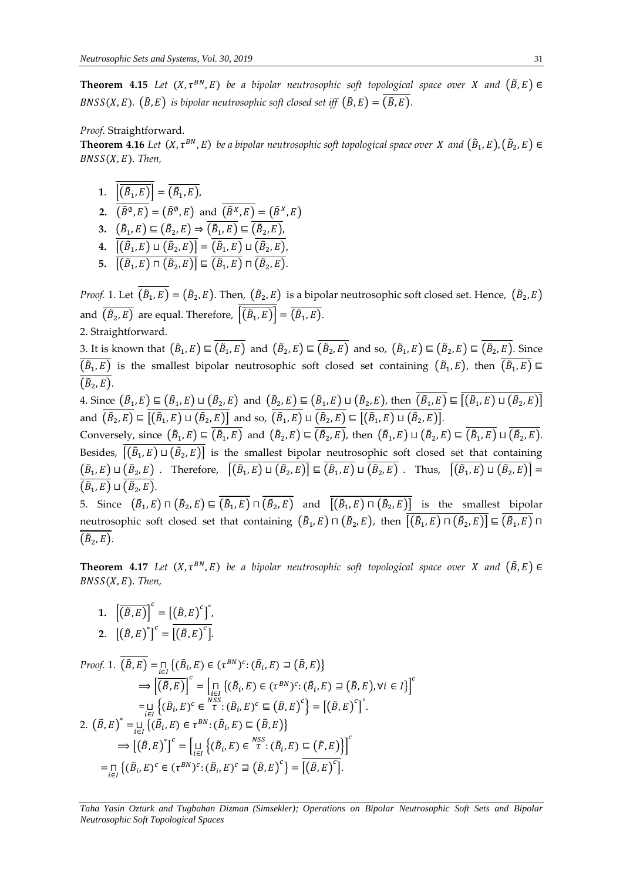**Theorem 4.15** Let  $(X, \tau^{BN}, E)$  be a bipolar neutrosophic soft topological space over X and  $(\tilde{B}, E) \in$  $BNSS(X, E)$ .  $(\tilde{B}, E)$  is bipolar neutrosophic soft closed set iff  $(\tilde{B}, E) = (\tilde{B}, E)$ .

#### *Proof.* Straightforward.

**Theorem 4.16** Let  $(X, \tau^{BN}, E)$  be a bipolar neutrosophic soft topological space over  $X$  and  $(\tilde{B}_1, E), (\tilde{B}_2, E) \in$ (, )*. Then,*

- **1**.  $|(\tilde{B}_1, E)| = (\tilde{B}_1, E)$ ,
- **2.**  $(\tilde{B}^{\emptyset}, E) = (\tilde{B}^{\emptyset}, E)$  and  $(\tilde{B}^X, E) = (\tilde{B}^X, E)$
- 3.  $(\tilde{B}_1, E) \sqsubseteq (\tilde{B}_2, E) \Rightarrow (\tilde{B}_1, E) \sqsubseteq (\tilde{B}_2, E)$
- $\mathbf{4.}~~\left[\left(\tilde{B}_{1},E\right)\sqcup\left(\tilde{B}_{2},E\right)\right]=\left(\tilde{B}_{1},E\right)\sqcup\left(\tilde{B}_{2},E\right)$
- **5.**  $[(\tilde{B}_1, E) \sqcap (\tilde{B}_2, E)] \sqsubseteq (\tilde{B}_1, E) \sqcap (\tilde{B}_2, E).$

*Proof.* 1. Let  $(\tilde{B}_1, E) = (\tilde{B}_2, E)$ . Then,  $(\tilde{B}_2, E)$  is a bipolar neutrosophic soft closed set. Hence,  $(\tilde{B}_2, E)$ and  $\left(\tilde{B}_2, E\right)$  are equal. Therefore,  $\left|\left(\tilde{B}_1, E\right)\right| = \left(\tilde{B}_1, E\right)$ . 2. Straightforward.

3. It is known that  $(\tilde{B}_1, E) \sqsubseteq (\tilde{B}_1, E)$  and  $(\tilde{B}_2, E) \sqsubseteq (\tilde{B}_2, E)$  and so,  $(\tilde{B}_1, E) \sqsubseteq (\tilde{B}_2, E) \sqsubseteq (\tilde{B}_2, E)$ . Since  $(\tilde{B}_1,E)$  is the smallest bipolar neutrosophic soft closed set containing  $(\tilde{B}_1,E)$ , then  $(\tilde{B}_1,E)$  $(\tilde{B}_2, E)$ .

4. Since  $(\tilde{B}_1,E)\sqsubseteq(\tilde{B}_1,E)\sqcup(\tilde{B}_2,E)$  and  $(\tilde{B}_2,E)\sqsubseteq(\tilde{B}_1,E)\sqcup(\tilde{B}_2,E)$ , then  $(\tilde{B}_1,E)\sqsubseteq[(\tilde{B}_1,E)\sqcup(\tilde{B}_2,E)]$ and  $(\tilde{B}_2, E) \sqsubseteq [(\tilde{B}_1, E) \sqcup (\tilde{B}_2, E)]$  and so,  $(\tilde{B}_1, E) \sqcup (\tilde{B}_2, E) \sqsubseteq [(\tilde{B}_1, E) \sqcup (\tilde{B}_2, E)].$ Conversely, since  $(\tilde{B}_1, E) \sqsubseteq (\tilde{B}_1, E)$  and  $(\tilde{B}_2, E) \sqsubseteq (\tilde{B}_2, E)$ , then  $(\tilde{B}_1, E) \sqcup (\tilde{B}_2, E) \sqsubseteq (\tilde{B}_1, E) \sqcup (\tilde{B}_2, E)$ . Besides,  $[(\tilde{B}_1, E) \sqcup (\tilde{B}_2, E)]$  is the smallest bipolar neutrosophic soft closed set that containing  $(\tilde{B}_1,E)\sqcup(\tilde{B}_2,E)$  . Therefore,  $[(\tilde{B}_1,E)\sqcup(\tilde{B}_2,E)]\sqsubseteq(\tilde{B}_1,E)\sqcup(\tilde{B}_2,E)$  . Thus,  $[(\tilde{B}_1,E)\sqcup(\tilde{B}_2,E)]=$  $(\tilde{B}_1, E) \sqcup (\tilde{B}_2, E).$ 5. Since  $(\tilde{B}_1, E) \sqcap (\tilde{B}_2, E) \sqsubseteq (\tilde{B}_1, E) \sqcap (\tilde{B}_2, E)$  and  $[(\tilde{B}_1, E) \sqcap (\tilde{B}_2, E)]$  is the smallest bipolar neutrosophic soft closed set that containing  $(\tilde B_1,E)\sqcap (\tilde B_2,E)$ , then  $\bigl[[\tilde B_1,E)\sqcap (\tilde B_2,E)\bigr]\sqsubseteq (\tilde B_1,E)\sqcap$ 

**Theorem 4.17** Let  $(X, \tau^{BN}, E)$  be a bipolar neutrosophic soft topological space over X and  $(\tilde{B}, E) \in$  $BNSS(X, E)$ . Then,

**1.**  $\left[\overline{(\tilde{B},E)}\right]^c = \left[\left(\tilde{B},E\right)^c\right]^c$ **2.**  $[(\tilde{B}, E)^{\circ}]^{c} = \overline{[(\tilde{B}, E)^{c}]}$ .

 $(\tilde{B}_2, E)$ .

Proof. 1. 
$$
\overline{(\tilde{B}, E)} = \prod_{i \in I} \{(\tilde{B}_i, E) \in (\tau^{BN})^c : (\tilde{B}_i, E) \supseteq (\tilde{B}, E)\}
$$
  
\n
$$
\Rightarrow \left[\overline{(\tilde{B}, E)}\right]^c = \prod_{i \in I} \{(\tilde{B}_i, E) \in (\tau^{BN})^c : (\tilde{B}_i, E) \supseteq (\tilde{B}, E), \forall i \in I\}^c
$$
  
\n
$$
= \prod_{i \in I} \{(\tilde{B}_i, E)^c \in \overline{\tau}^{\text{NSS}} : (\tilde{B}_i, E)^c \subseteq (\tilde{B}, E)^c\} = \left[(\tilde{B}, E)^c\right]^c.
$$
  
\n2. 
$$
(\tilde{B}, E)^{\circ} = \prod_{i \in I} \{(\tilde{B}_i, E) \in \tau^{BN} : (\tilde{B}_i, E) \subseteq (\tilde{B}, E)\}
$$
  
\n
$$
\Rightarrow \left[(\tilde{B}, E)^{\circ}\right]^c = \left[\prod_{i \in I} \{(\tilde{B}_i, E) \in \overline{\tau}^{\text{NSS}} : (\tilde{B}_i, E) \subseteq (\tilde{F}, E)\}\right]^c
$$
  
\n
$$
= \prod_{i \in I} \{(\tilde{B}_i, E)^c \in (\tau^{BN})^c : (\tilde{B}_i, E)^c \supseteq (\tilde{B}, E)^c\} = \overline{[(\tilde{B}, E)^c]}
$$
.

*Taha Yasin Ozturk and Tugbahan Dizman (Simsekler); Operations on Bipolar Neutrosophic Soft Sets and Bipolar Neutrosophic Soft Topological Spaces*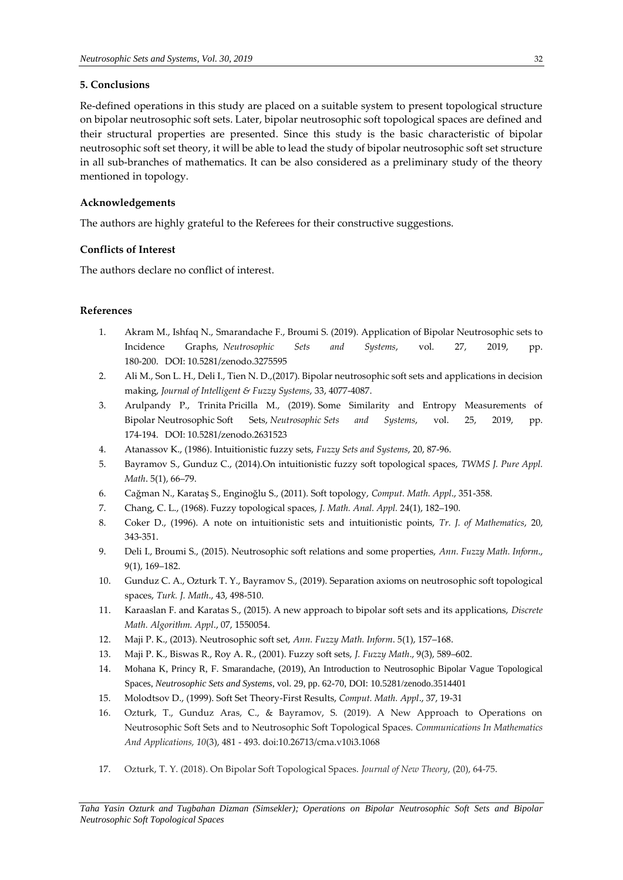## **5. Conclusions**

Re-defined operations in this study are placed on a suitable system to present topological structure on bipolar neutrosophic soft sets. Later, bipolar neutrosophic soft topological spaces are defined and their structural properties are presented. Since this study is the basic characteristic of bipolar neutrosophic soft set theory, it will be able to lead the study of bipolar neutrosophic soft set structure in all sub-branches of mathematics. It can be also considered as a preliminary study of the theory mentioned in topology.

# **Acknowledgements**

The authors are highly grateful to the Referees for their constructive suggestions.

# **Conflicts of Interest**

The authors declare no conflict of interest.

# **References**

- 1. Akram M., Ishfaq N., Smarandache F., Broumi S. (2019). [Application of Bipolar Neutrosophic sets to](http://fs.unm.edu/NSS/ApplicationofBipolarNeutrosophicsetstoIncidence.pdf)  [Incidence Graphs,](http://fs.unm.edu/NSS/ApplicationofBipolarNeutrosophicsetstoIncidence.pdf) *Neutrosophic Sets and Systems*, vol. 27, 2019, pp. 180-200. DOI: [10.5281/zenodo.3275595](https://zenodo.org/record/3275595)
- 2. Ali M., Son L. H., Deli I., Tien N. D.,(2017). Bipolar neutrosophic soft sets and applications in decision making, *Journal of Intelligent & Fuzzy Systems*, 33, 4077-4087.
- 3. Arulpandy P., Trinita Pricilla M., (2019). [Some Similarity and Entropy Measurements of](http://fs.unm.edu/NSS/Somesimilarityandentropymeasurements.pdf)  Bipolar [Neutrosophic](http://fs.unm.edu/NSS/Somesimilarityandentropymeasurements.pdf) Soft Sets, *Neutrosophic Sets and Systems*, vol. 25, 2019, pp. 174-194. DOI: [10.5281/zenodo.2631523](https://zenodo.org/record/2631523#.XKks5KSxXIU)
- 4. Atanassov K., (1986). Intuitionistic fuzzy sets, *Fuzzy Sets and Systems*, 20, 87-96.
- 5. Bayramov S., Gunduz C., (2014).On intuitionistic fuzzy soft topological spaces, *TWMS J. Pure Appl. Math*. 5(1), 66–79.
- 6. Cağman N., Karataş S., Enginoğlu S., (2011). Soft topology, *Comput. Math. Appl*., 351-358.
- 7. Chang, C. L., (1968). Fuzzy topological spaces, *J. Math. Anal. Appl.* 24(1), 182–190.
- 8. Coker D., (1996). A note on intuitionistic sets and intuitionistic points, *Tr. J. of Mathematics*, 20, 343-351.
- 9. Deli I., Broumi S., (2015). Neutrosophic soft relations and some properties, *Ann. Fuzzy Math. Inform*., 9(1), 169–182.
- 10. Gunduz C. A., Ozturk T. Y., Bayramov S., (2019). Separation axioms on neutrosophic soft topological spaces, *Turk. J. Math*., 43, 498-510.
- 11. Karaaslan F. and Karatas S., (2015). A new approach to bipolar soft sets and its applications, *Discrete Math. Algorithm. Appl*., 07, 1550054.
- 12. Maji P. K., (2013). Neutrosophic soft set, *Ann. Fuzzy Math. Inform*. 5(1), 157–168.
- 13. Maji P. K., Biswas R., Roy A. R., (2001). Fuzzy soft sets, *J. Fuzzy Math*., 9(3), 589–602.
- 14. Mohana K, Princy R, F. Smarandache, (2019), [An Introduction to Neutrosophic Bipolar Vague Topological](http://fs.unm.edu/NSS/IntroductionToNeutrosophic2.pdf)  [Spaces,](http://fs.unm.edu/NSS/IntroductionToNeutrosophic2.pdf) *Neutrosophic Sets and Systems*, vol. 29, pp. 62-70, DOI: [10.5281/zenodo.3514401](https://zenodo.org/record/3514401#.XazUjugzbIU)
- 15. Molodtsov D., (1999). Soft Set Theory-First Results, *Comput. Math. Appl*., 37, 19-31
- 16. Ozturk, T., Gunduz Aras, C., & Bayramov, S. (2019). A New Approach to Operations on Neutrosophic Soft Sets and to Neutrosophic Soft Topological Spaces. *Communications In Mathematics And Applications, 10*(3), 481 - 493. doi:10.26713/cma.v10i3.1068
- 17. Ozturk, T. Y. (2018). On Bipolar Soft Topological Spaces. *Journal of New Theory*, (20), 64-75.